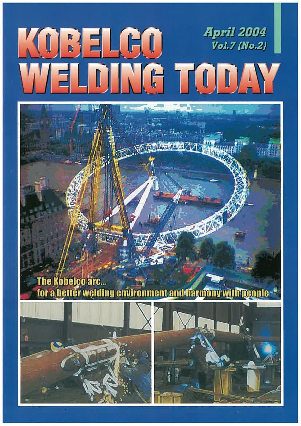## *April 2004* KOBELGO **Vol.7 (No.2)** ELDING TODAY

### The Kobelco arc... for a better welding environment and harmony with people .



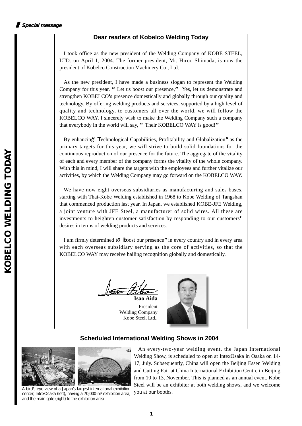#### **Dear readers of Kobelco Welding Today**

I took office as the new president of the Welding Company of KOBE STEEL, LTD. on April 1, 2004. The former president, Mr. Hiroo Shimada, is now the president of Kobelco Construction Machinery Co., Ltd.

As the new president, I have made a business slogan to represent the Welding Company for this year. **"**Let us boost our presence,**"** Yes, let us demonstrate and strengthen KOBELCO**'**s presence domestically and globally through our quality and technology. By offering welding products and services, supported by a high level of quality and technology, to customers all over the world, we will follow the KOBELCO WAY. I sincerely wish to make the Welding Company such a company that everybody in the world will say, **"**Their KOBELCO WAY is good!**"**

By enhancing**"T**echnological Capabilities, Profitability and Globalization**"**as the primary targets for this year, we will strive to build solid foundations for the continuous reproduction of our presence for the future. The aggregate of the vitality of each and every member of the company forms the vitality of the whole company. With this in mind, I will share the targets with the employees and further vitalize our activities, by which the Welding Company may go forward on the KOBELCO WAY.

We have now eight overseas subsidiaries as manufacturing and sales bases, starting with Thai-Kobe Welding established in 1968 to Kobe Welding of Tangshan that commenced production last year. In Japan, we established KOBE-JFE Welding, a joint venture with JFE Steel, a manufacturer of solid wires. All these are investments to heighten customer satisfaction by responding to our customers**'** desires in terms of welding products and services.

I am firmly determined to boost our presence" in every country and in every area with each overseas subsidiary serving as the core of activities, so that the KOBELCO WAY may receive hailing recognition globally and domestically.

**Isao Aida**

President Welding Company Kobe Steel, Ltd..



#### **Scheduled International Welding Shows in 2004**



A bird's-eye view of a Japan's largest international exhibition<br>center Interaciska (left), having a 70  $\alpha$ m<sup>2</sup> exhibition area you at our booths. center, IntexOsaka (left), having a 70,000-m2 exhibition area, and the main gate (right) to the exhibition area

An every-two-year welding event, the Japan International Welding Show, is scheduled to open at IntexOsaka in Osaka on 14- 17, July. Subsequently, China will open the Beijing Essen Welding and Cutting Fair at China International Exhibition Centre in Beijing from 10 to 13, November. This is planned as an annual event. Kobe Steel will be an exhibiter at both welding shows, and we welcome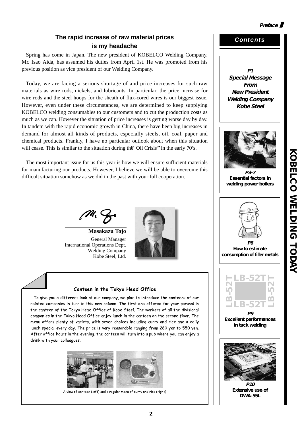#### **Preface**

#### **The rapid increase of raw material prices is my headache**

Spring has come in Japan. The new president of KOBELCO Welding Company, Mr. Isao Aida, has assumed his duties from April 1st. He was promoted from his previous position as vice president of our Welding Company.

Today, we are facing a serious shortage of and price increases for such raw materials as wire rods, nickels, and lubricants. In particular, the price increase for wire rods and the steel hoops for the sheath of flux-cored wires is our biggest issue. However, even under these circumstances, we are determined to keep supplying KOBELCO welding consumables to our customers and to cut the production costs as much as we can. However the situation of price increases is getting worse day by day. In tandem with the rapid economic growth in China, there have been big increases in demand for almost all kinds of products, especially steels, oil, coal, paper and chemical products. Frankly, I have no particular outlook about when this situation will cease. This is similar to the situation during the**"**Oil Crisis**"**in the early 70**'**s.

The most important issue for us this year is how we will ensure sufficient materials for manufacturing our products. However, I believe we will be able to overcome this difficult situation somehow as we did in the past with your full cooperation.

**Masakazu Tojo** General Manager International Operations Dept. Welding Company Kobe Steel, Ltd.



#### Canteen in the Tokyo Head Office

To give you a different look at our company, we plan to introduce the canteens of our related companies in turn in this new column. The first one offered for your perusal is the canteen of the Tokyo Head Office of Kobe Steel. The workers of all the divisional companies in the Tokyo Head Office enjoy lunch in the canteen on the second floor. The menu offers plenty of variety, with seven choices including curry and rice and a daily lunch special every day. The price is very reasonable ranging from 280 yen to 550 yen. After office hours in the evening, the canteen will turn into a pub where you can enjoy a drink with your colleagues.



A view of canteen (left) and a regular menu of curry and rice (right)

#### *Contents*

**P1 Special Message From New President Welding Company Kobe Steel**



**P3-7 Essential factors in welding power boilers**



**P8 How to estimate consumption of filler metals**

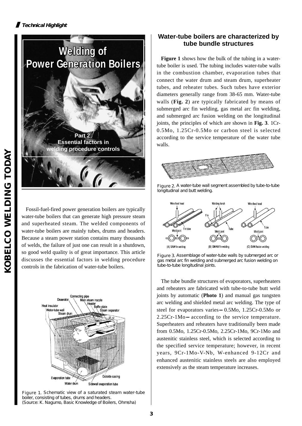

Fossil-fuel-fired power generation boilers are typically water-tube boilers that can generate high pressure steam and superheated steam. The welded components of water-tube boilers are mainly tubes, drums and headers. Because a steam power station contains many thousands of welds, the failure of just one can result in a shutdown, so good weld quality is of great importance. This article discusses the essential factors in welding procedure controls in the fabrication of water-tube boilers.



Figure 1. Schematic view of a saturated steam water-tube boiler, consisting of tubes, drums and headers. (Source: K. Nagumo, Basic Knowledge of Boilers, Ohmsha)

#### **Water-tube boilers are characterized by tube bundle structures**

**Figure 1** shows how the bulk of the tubing in a watertube boiler is used. The tubing includes water-tube walls in the combustion chamber, evaporation tubes that connect the water drum and steam drum, superheater tubes, and reheater tubes. Such tubes have exterior diameters generally range from 38-65 mm. Water-tube walls (**Fig. 2**) are typically fabricated by means of submerged arc fin welding, gas metal arc fin welding, and submerged arc fusion welding on the longitudinal joints, the principles of which are shown in **Fig. 3**. 1Cr-0.5Mo, 1.25Cr-0.5Mo or carbon steel is selected according to the service temperature of the water tube walls.



Figure 2. A water-tube wall segment assembled by tube-to-tube longitudinal and butt welding.



Figure 3. Assemblage of water-tube walls by submerged arc or gas metal arc fin welding and submerged arc fusion welding on tube-to-tube longitudinal joints.

The tube bundle structures of evaporators, superheaters and reheaters are fabricated with tube-to-tube butt weld joints by automatic (**Photo 1**) and manual gas tungsten arc welding and shielded metal arc welding. The type of steel for evaporators varies 0.5Mo, 1.25Cr-0.5Mo or 2.25Cr-1Mo according to the service temperature. Superheaters and reheaters have traditionally been made from 0.5Mo, 1.25Cr-0.5Mo, 2.25Cr-1Mo, 9Cr-1Mo and austenitic stainless steel, which is selected according to the specified service temperature; however, in recent years, 9Cr-1Mo-V-Nb, W-enhanced 9-12Cr and enhanced austenitic stainless steels are also employed extensively as the steam temperature increases.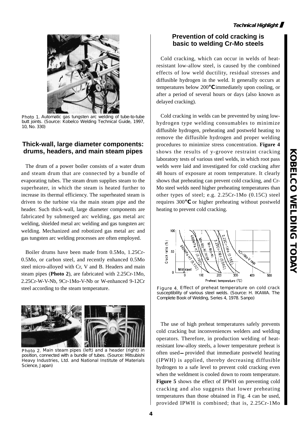

Photo 1. Automatic gas tungsten arc welding of tube-to-tube butt joints. (Source: Kobelco Welding Technical Guide, 1997, 10, No. 330)

#### **Thick-wall, large diameter components: drums, headers, and main steam pipes**

The drum of a power boiler consists of a water drum and steam drum that are connected by a bundle of evaporating tubes. The steam drum supplies steam to the superheater, in which the steam is heated further to increase its thermal efficiency. The superheated steam is driven to the turbine via the main steam pipe and the header. Such thick-wall, large diameter components are fabricated by submerged arc welding, gas metal arc welding, shielded metal arc welding and gas tungsten arc welding. Mechanized and robotized gas metal arc and gas tungsten arc welding processes are often employed.

Boiler drums have been made from 0.5Mo, 1.25Cr-0.5Mo, or carbon steel, and recently enhanced 0.5Mo steel micro-alloyed with Cr, V and B. Headers and main steam pipes (**Photo 2**), are fabricated with 2.25Cr-1Mo, 2.25Cr-W-V-Nb, 9Cr-1Mo-V-Nb or W-enhanced 9-12Cr steel according to the steam temperature.



Photo 2. Main steam pipes (left) and a header (right) in position, connected with a bundle of tubes. (Source: Mitsubishi Heavy Industries, Ltd. and National Institute of Materials Science, Japan)

#### **Prevention of cold cracking is basic to welding Cr-Mo steels**

Cold cracking, which can occur in welds of heatresistant low-allow steel, is caused by the combined effects of low weld ductility, residual stresses and diffusible hydrogen in the weld. It generally occurs at temperatures below 200 immediately upon cooling, or after a period of several hours or days (also known as delayed cracking).

Cold cracking in welds can be prevented by using lowhydrogen type welding consumables to minimize diffusible hydrogen, preheating and postweld heating to remove the diffusible hydrogen and proper welding procedures to minimize stress concentration. **Figure 4** shows the results of y-groove restraint cracking laboratory tests of various steel welds, in which root pass welds were laid and investigated for cold cracking after 48 hours of exposure at room temperature. It clearly shows that preheating can prevent cold cracking, and Cr-Mo steel welds need higher preheating temperatures than other types of steel; e.g. 2.25Cr-1Mo (0.15C) steel requires 300 or higher preheating without postweld heating to prevent cold cracking.



Figure 4. Effect of preheat temperature on cold crack susceptibility of various steel welds. (Source: H. IKAWA. The Complete Book of Welding, Series 4, 1978. Sanpo)

The use of high preheat temperatures safely prevents cold cracking but inconveniences welders and welding operators. Therefore, in production welding of heatresistant low-alloy steels, a lower temperature preheat is often used provided that immediate postweld heating (IPWH) is applied, thereby decreasing diffusible hydrogen to a safe level to prevent cold cracking even when the weldment is cooled down to room temperature. **Figure 5** shows the effect of IPWH on preventing cold cracking and also suggests that lower preheating temperatures than those obtained in Fig. 4 can be used, provided IPWH is combined; that is, 2.25Cr-1Mo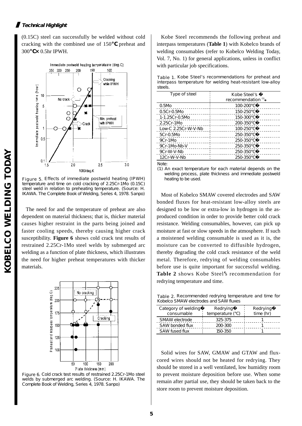#### **Technical Highlight**

(0.15C) steel can successfully be welded without cold cracking with the combined use of 150 preheat and 300**℃×**0.5hr IPWH.



Figure 5. Effects of immediate postweld heating (IPWH) temperature and time on cold cracking of 2.25Cr-1Mo (0.15C) steel weld in relation to preheating temperature. (Source: H. IKAWA. The Complete Book of Welding, Series 4, 1978. Sanpo)

The need for and the temperature of preheat are also dependent on material thickness; that is, thicker material causes higher restraint in the parts being joined and faster cooling speeds, thereby causing higher crack susceptibility. **Figure 6** shows cold crack test results of restrained 2.25Cr-1Mo steel welds by submerged arc welding as a function of plate thickness, which illustrates the need for higher preheat temperatures with thicker materials.



Figure 6. Cold crack test results of restrained 2.25Cr-1Mo steel welds by submerged arc welding. (Source: H. IKAWA. The Complete Book of Welding, Series 4, 1978. Sanpo)

Kobe Steel recommends the following preheat and interpass temperatures (**Table 1**) with Kobelco brands of welding consumables (refer to Kobelco Welding Today, Vol. 7, No. 1) for general applications, unless in conflict with particular job specifications.

Table 1. Kobe Steel's recommendations for preheat and interpass temperature for welding heat-resistant low-alloy steels.

| Type of steel       | Kobe Steel's<br>recommendation <sup>(1)</sup> |
|---------------------|-----------------------------------------------|
| 0.5M <sub>o</sub>   | 100-200                                       |
| $0.5Cr-0.5M0$       | 150-250                                       |
| 1-1.25Cr-0.5Mo      | 150-300                                       |
| 2.25Cr-1Mo          | 200-350                                       |
| Low-C 2.25Cr-W-V-Nb | 100-250                                       |
| 5Cr-0.5Mo           | 250-350                                       |
| 9Cr-1Mo             | 250-350                                       |
| 9Cr-1Mo-Nb-V        | 250-350                                       |
| 9Cr-W-V-Nb          | 250-350                                       |
| 12Cr-W-V-Nb         | 250-350                                       |

Note:

(1) An exact temperature for each material depends on the welding process, plate thickness and immediate postweld heating to be used.

Most of Kobelco SMAW covered electrodes and SAW bonded fluxes for heat-resistant low-alloy steels are designed to be low or extra-low in hydrogen in the asproduced condition in order to provide better cold crack resistance. Welding consumables, however, can pick up moisture at fast or slow speeds in the atmosphere. If such a moistened welding consumable is used as it is, the moisture can be converted to diffusible hydrogen, thereby degrading the cold crack resistance of the weld metal. Therefore, redrying of welding consumables before use is quite important for successful welding. **Table 2** shows Kobe Steel**'**s recommendation for redrying temperature and time.

Table 2. Recommended redrying temperature and time for Kobelco SMAW electrodes and SAW fluxes

| Category of welding<br>consumable | Redrying<br>temperature ( | Redrying<br>time(hr) |
|-----------------------------------|---------------------------|----------------------|
| SMAW electrode                    | 325-375                   |                      |
| SAW bonded flux                   | 200-300                   |                      |
| <b>SAW fused flux</b>             | 150-350                   |                      |

Solid wires for SAW, GMAW and GTAW and fluxcored wires should not be heated for redrying. They should be stored in a well ventilated, low humidity room to prevent moisture deposition before use. When some remain after partial use, they should be taken back to the store room to prevent moisture deposition.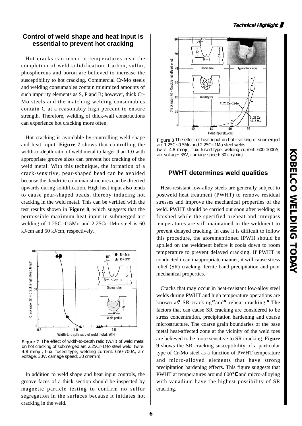#### **Control of weld shape and heat input is essential to prevent hot cracking**

Hot cracks can occur at temperatures near the completion of weld solidification. Carbon, sulfur, phosphorous and boron are believed to increase the susceptibility to hot cracking. Commercial Cr-Mo steels and welding consumables contain minimized amounts of such impurity elements as S, P and B; however, thick Cr-Mo steels and the matching welding consumables contain C at a reasonably high percent to ensure strength. Therefore, welding of thick-wall constructions can experience hot cracking more often.

Hot cracking is avoidable by controlling weld shape and heat input. **Figure 7** shows that controlling the width-to-depth ratio of weld metal to larger than 1.0 with appropriate groove sizes can prevent hot cracking of the weld metal. With this technique, the formation of a crack-sensitive, pear-shaped bead can be avoided because the dendritic columnar structures can be directed upwards during solidification. High heat input also tends to cause pear-shaped beads, thereby inducing hot cracking in the weld metal. This can be verified with the test results shown in **Figure 8**, which suggests that the permissible maximum heat input in submerged arc welding of 1.25Cr-0.5Mo and 2.25Cr-1Mo steel is 60 kJ/cm and 50 kJ/cm, respectively.



Figure 7. The effect of width-to-depth ratio (W/H) of weld metal on hot cracking of submerged arc 2.25Cr-1Mo steel weld. (wire: 4.8 mm, flux: fused type, welding current: 650-700A, arc voltage: 30V, carriage speed: 30 cm/min)

In addition to weld shape and heat input controls, the groove faces of a thick section should be inspected by magnetic particle testing to confirm no sulfur segregation in the surfaces because it initiates hot cracking in the weld.



Figure 8 The effect of heat input on hot cracking of submerged arc 1.25Cr-0.5Mo and 2.25Cr-1Mo steel welds. (wire: 4.8 mm, flux: fused type, welding current: 600-1000A, arc voltage: 35V, carriage speed: 30 cm/min)

#### **PWHT determines weld qualities**

Heat-resistant low-alloy steels are generally subject to postweld heat treatment (PWHT) to remove residual stresses and improve the mechanical properties of the weld. PWHT should be carried out soon after welding is finished while the specified preheat and interpass temperatures are still maintained in the weldment to prevent delayed cracking. In case it is difficult to follow this procedure, the aforementioned IPWH should be applied on the weldment before it cools down to room temperature to prevent delayed cracking. If PWHT is conducted in an inappropriate manner, it will cause stress relief (SR) cracking, ferrite band precipitation and poor mechanical properties.

Cracks that may occur in heat-resistant low-alloy steel welds during PWHT and high temperature operations are known as**"**SR cracking**"**and**"**reheat cracking.**"**The factors that can cause SR cracking are considered to be stress concentration, precipitation hardening and coarse microstructure. The coarse grain boundaries of the base metal heat-affected zone at the vicinity of the weld toes are believed to be more sensitive to SR cracking. **Figure 9** shows the SR cracking susceptibility of a particular type of Cr-Mo steel as a function of PWHT temperature and micro-alloyed elements that have strong precipitation hardening effects. This figure suggests that PWHT at temperatures around 600 and micro-alloying with vanadium have the highest possibility of SR cracking.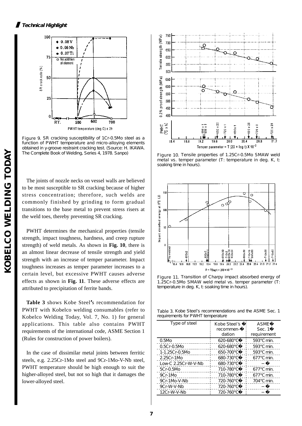

Figure 9. SR cracking susceptibility of 1Cr-0.5Mo steel as a function of PWHT temperature and micro-alloying elements obtained in y-groove restraint cracking test. (Source: H. IKAWA. The Complete Book of Welding, Series 4, 1978. Sanpo) Figure 10. Tensile properties of 1.25Cr-0.5Mo SMAW weld

The joints of nozzle necks on vessel walls are believed to be most susceptible to SR cracking because of higher stress concentration; therefore, such welds are commonly finished by grinding to form gradual transitions to the base metal to prevent stress risers at the weld toes, thereby preventing SR cracking.

PWHT determines the mechanical properties (tensile strength, impact toughness, hardness, and creep rupture strength) of weld metals. As shown in **Fig. 10**, there is an almost linear decrease of tensile strength and yield strength with an increase of temper parameter. Impact toughness increases as temper parameter increases to a certain level, but excessive PWHT causes adverse effects as shown in **Fig. 11**. These adverse effects are attributed to precipitation of ferrite bands.

**Table 3** shows Kobe Steel**'**s recommendation for PWHT with Kobelco welding consumables (refer to Kobelco Welding Today, Vol. 7, No. 1) for general applications. This table also contains PWHT requirements of the international code, ASME Section 1 (Rules for construction of power boilers).

In the case of dissimilar metal joints between ferritic steels, e.g. 2.25Cr-1Mo steel and 9Cr-1Mo-V-Nb steel, PWHT temperature should be high enough to suit the higher-alloyed steel, but not so high that it damages the lower-alloyed steel.



metal vs. temper parameter (T: temperature in deg. K, t: soaking time in hours).



Figure 11. Transition of Charpy impact absorbed energy of 1.25Cr-0.5Mo SMAW weld metal vs. temper parameter (T: temperature in deg. K, t: soaking time in hours).

Table 3. Kobe Steel's recommendations and the ASME Sec. 1 requirements for PWHT temperature

| Type of steel        | Kobe Steel's<br>recommen-<br>dation | <b>ASME</b><br>Sec. 1<br>requirement |  |
|----------------------|-------------------------------------|--------------------------------------|--|
| 0.5M <sub>0</sub>    | 620-680                             | 593<br>min.                          |  |
| $0.5Cr-0.5M0$        | 620-680                             | min.<br>593                          |  |
| 1-1.25Cr-0.5Mo       | 650-700                             | 593<br>min.                          |  |
| 2.25Cr-1Mo           | 680-730                             | min.<br>677                          |  |
| Low-C 2.25Cr-W-V-Nb  | 680-730                             |                                      |  |
| 5Cr-0.5Mo            | 710-780                             | 677<br>min.                          |  |
| 9Cr-1Mo              | 710-780                             | min.<br>677                          |  |
| 9Cr-1Mo-V-Nb         | 720-760                             | min.<br>704                          |  |
| 9Cr-W-V-Nb           | 720-760                             |                                      |  |
| 12Cr-W-V <i>-</i> Nb | 720-760                             |                                      |  |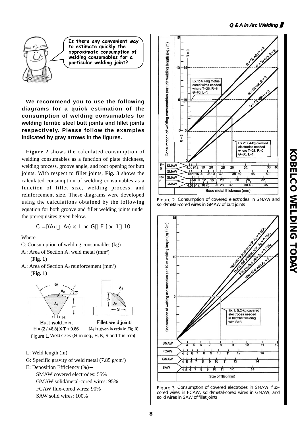

Is there any convenient way to estimate quickly the approximate consumption of welding consumables for a particular welding joint?

**We recommend you to use the following diagrams for a quick estimation of the consumption of welding consumables for welding ferritic steel butt joints and fillet joints respectively. Please follow the examples indicated by gray arrows in the figures.**

**Figure 2** shows the calculated consumption of welding consumables as a function of plate thickness, welding process, groove angle, and root opening for butt joints. With respect to fillet joints, **Fig. 3** shows the calculated consumption of welding consumables as a function of fillet size, welding process, and reinforcement size. These diagrams were developed using the calculations obtained by the following equation for both groove and fillet welding joints under the prerequisites given below.

 $C = [(A_1 \ A_2) \times L \times G \ E] \times 1$  10

Where

- C: Consumption of welding consumables (kg)
- A<sub>1</sub>: Area of Section A<sub>1</sub> weld metal  $(mm^2)$

(**Fig. 1**)

 $A_2$ : Area of Section  $A_2$  reinforcement (mm<sup>2</sup>)

(**Fig. 1**)





Butt weld joint Fillet weld joint  $H = (2 / 46.8) \times T + 0.86$ (A<sub>2</sub> is given in ratio in Fig. 3) Figure 1. Weld sizes (in deg., H, R, S and T in mm)

- L: Weld length (m)
- G: Specific gravity of weld metal  $(7.85 \text{ g/cm}^3)$
- E: Deposition Efficiency (%) SMAW covered electrodes: 55%
	- GMAW solid/metal-cored wires: 95%
	- FCAW flux-cored wires: 90%
	- SAW solid wires: 100%







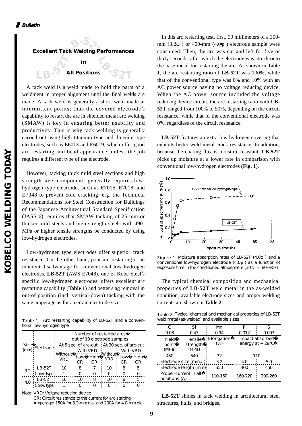

A tack weld is a weld made to hold the parts of a weldment in proper alignment until the final welds are made. A tack weld is generally a short weld made at intermittent points; thus the covered electrode**'**s capability to restart the arc in shielded metal arc welding (SMAW) is key in ensuring better usability and productivity. This is why tack welding is generally carried out using high titanium type and ilmenite type electrodes, such as E6013 and E6019, which offer good arc restarting and bead appearance, unless the job requires a different type of the electrode.

However, tacking thick mild steel sections and high strength steel components generally requires lowhydrogen type electrodes such as E7016, E7018, and E7048 to prevent cold cracking; e.g. the Technical Recommendations for Steel Construction for Buildings of the Japanese Architectural Standard Specification (JASS 6) requires that SMAW tacking of 25-mm or thicker mild steels and high strength steels with 490- MPa or higher tensile strengths be conducted by using low-hydrogen electrodes.

Low-hydrogen type electrodes offer superior crack resistance. On the other hand, poor arc restarting is an inherent disadvantage for conventional low-hydrogen electrodes. **LB-52T** (AWS E7048), one of Kobe Steel**'**s specific low-hydrogen electrodes, offers excellent arc restarting capability (**Table 1**) and better slag removal in out-of-position (incl. vertical-down) tacking with the same amperage as for a certain electrode size.

Table 1. Arc restarting capability of LB-52T and a conventional low-hydrogen type

|             | (mm) Electrode | Number of restarted arcs<br>out of 10 electrode samples |          |           |                |           |      |
|-------------|----------------|---------------------------------------------------------|----------|-----------|----------------|-----------|------|
| <b>Size</b> |                | At 5 sec. of arc-cut   At 30 sec. of arc-cut            |          |           |                |           |      |
|             |                |                                                         | With VRD |           | <b>Mithout</b> | With VRD  |      |
|             |                | <b>Without</b><br><b>VRD</b>                            | Low      | High      | <b>VRD</b>     | Low       | High |
|             |                |                                                         | СR       | <b>CR</b> |                | <b>CR</b> | СR   |
| 3.2         | LB-52T         | 10                                                      | 8        |           | 1ດ             | 8         |      |
|             | Conv. type     |                                                         |          |           |                |           |      |
| 4.0         | LB-52T         | 10                                                      | 10       | 8         | 1ດ             | 8         |      |
|             | Conv. type     |                                                         |          |           |                |           |      |

Note: VRD: Voltage reducing device CR: Circuit resistance to the current for arc starting Amperage: 150A for 3.2-mm dia. and 200A for 4.0-mm dia.

In this arc restarting test, first, 50 millimeters of a 350 mm (3.2 ) or 400-mm (4.0 ) electrode sample were consumed. Then, the arc was cut and left for five or thirty seconds, after which the electrode was struck onto the base metal for restarting the arc. As shown in Table 1, the arc restarting ratio of **LB-52T** was 100%, while that of the conventional type was 0% and 10% with an AC power source having no voltage reducing device. When the AC power source included the voltage reducing device circuit, the arc restarting ratio with **LB-52T** ranged from 100% to 50%, depending on the circuit resistance, while that of the conventional electrode was 0%, regardless of the circuit resistance.

**LB-52T** features an extra-low hydrogen covering that exhibits better weld metal crack resistance. In addition, because the coating flux is moisture-resistant, **LB-52T** picks up moisture at a lower rate in comparison with conventional low-hydrogen electrodes (**Fig. 1**).



Figure 1. Moisture absorption rates of LB-52T (4.0) and a conventional low-hydrogen electrode (4.0 ) as a function of exposure time in the conditioned atmosphere  $(30 \times 80\% \text{RH})$ 

The typical chemical composition and mechanical properties of **LB-52T** weld metal in the as-welded condition, available electrode sizes and proper welding currents are shown in **Table 2**.

Table 2. Typical chemical and mechanical properties of LB-52T weld metal (as-welded) and available sizes

| C.                                     | Si                           | Mn                       |                                     |         |  |
|----------------------------------------|------------------------------|--------------------------|-------------------------------------|---------|--|
| 0.08                                   | 0.47                         | 0.94                     | 0.012                               | 0.007   |  |
| Yield<br>point<br>(MPa)                | Tensile<br>strength<br>(MPa) | <b>Elongation</b><br>(%) | Impact absorbed<br>energy at<br>-29 |         |  |
| 450                                    | 540                          | 32                       | 110                                 |         |  |
| Electrode size (mm                     |                              | 3.2                      | 4.0                                 | 5.0     |  |
| Electrode length (mm)                  |                              | 350                      | 400                                 | 450     |  |
| Proper current in all<br>positions (A) |                              | 110-160                  | 160-220                             | 200-260 |  |

**LB-52T** shines in tack welding in architectural steel structures, hulls, and bridges.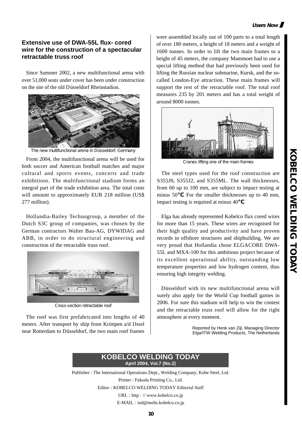#### **Users Now**

**KOBELCO WELDING TODAY**

**KORLCO NELDING TODAY** 

#### **Extensive use of DWA-55L flux- cored wire for the construction of a spectacular retractable truss roof**

Since Summer 2002, a new multifunctional arena with over 51,000 seats under cover has been under construction on the site of the old Düsseldorf Rheinstadion.



The new multifunctional arena in Düsseldorf, Germany

From 2004, the multifunctional arena will be used for Cranes lifting one of the main frames both soccer and American football matches and major cultural and sports events, concerts and trade exhibitions. The multifunctional stadium forms an integral part of the trade exhibition area. The total costs will amount to approximately EUR 218 million (US\$) 277 million).

Hollandia-Bailey Technogroup, a member of the Dutch S3C group of companies, was chosen by the German contractors Walter Bau-AG, DYWIDAG and ABB, in order to do structural engineering and construction of the retractable truss roof.



Cross-section retractable roof

The roof was first prefabricated into lengths of 40 meters. After transport by ship from Krimpen a/d IJssel near Rotterdam to Düsseldorf, the two main roof frames

were assembled locally out of 100 parts to a total length of over 180 meters, a height of 18 meters and a weight of 1600 tonnes. In order to lift the two main frames to a height of 45 meters, the company Mammoet had to use a special lifting method that had previously been used for lifting the Russian nuclear submarine, Kursk, and the socalled London-Eye attraction. These main frames will support the rest of the retractable roof. The total roof measures 235 by 201 meters and has a total weight of around 8000 tonnes.



The steel types used for the roof construction are S355J0, S355J2, and S355ML. The wall thicknesses, from 60 up to 100 mm, are subject to impact testing at minus 50 . For the smaller thicknesses up to 40 mm, impact testing is required at minus 40 .

Elga has already represented Kobelco flux cored wires for more than 15 years. These wires are recognised for their high quality and productivity and have proven records in offshore structures and shipbuilding. We are very proud that Hollandia chose ELGACORE DWA-55L and MXA-100 for this ambitious project because of its excellent operational ability, outstanding low temperature properties and low hydrogen content, thus ensuring high integrity welding.

Düsseldorf with its new multifunctional arena will surely also apply for the World Cup football games in 2006. For sure this stadium will help to win the contest and the retractable truss roof will allow for the right atmosphere at every moment.

> Reported by Henk van Zijl, Managing Director Elga/ITW Welding Products, The Netherlands

#### **KOBELCO WELDING TODAY April 2004, Vol.7 (No.2)**

Publisher : The International Operations Dept., Welding Company, Kobe Steel, Ltd. Printer : Fukuda Printing Co., Ltd. Editor : KOBELCO WELDING TODAY Editorial Staff URL : http : // www.kobelco.co.jp E-MAIL : iod@melts.kobelco.co.jp

**10**